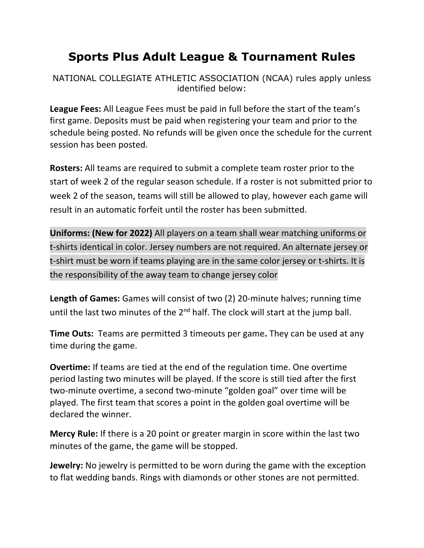## **Sports Plus Adult League & Tournament Rules**

NATIONAL COLLEGIATE ATHLETIC ASSOCIATION (NCAA) rules apply unless identified below:

**League Fees:** All League Fees must be paid in full before the start of the team's first game. Deposits must be paid when registering your team and prior to the schedule being posted. No refunds will be given once the schedule for the current session has been posted.

**Rosters:** All teams are required to submit a complete team roster prior to the start of week 2 of the regular season schedule. If a roster is not submitted prior to week 2 of the season, teams will still be allowed to play, however each game will result in an automatic forfeit until the roster has been submitted.

**Uniforms: (New for 2022)** All players on a team shall wear matching uniforms or t-shirts identical in color. Jersey numbers are not required. An alternate jersey or t-shirt must be worn if teams playing are in the same color jersey or t-shirts. It is the responsibility of the away team to change jersey color

**Length of Games:** Games will consist of two (2) 20-minute halves; running time until the last two minutes of the  $2<sup>nd</sup>$  half. The clock will start at the jump ball.

**Time Outs:** Teams are permitted 3 timeouts per game**.** They can be used at any time during the game.

**Overtime:** If teams are tied at the end of the regulation time. One overtime period lasting two minutes will be played. If the score is still tied after the first two-minute overtime, a second two-minute "golden goal" over time will be played. The first team that scores a point in the golden goal overtime will be declared the winner.

**Mercy Rule:** If there is a 20 point or greater margin in score within the last two minutes of the game, the game will be stopped.

**Jewelry:** No jewelry is permitted to be worn during the game with the exception to flat wedding bands. Rings with diamonds or other stones are not permitted.